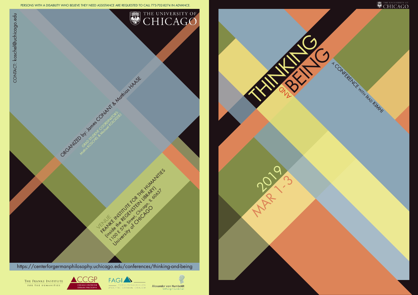